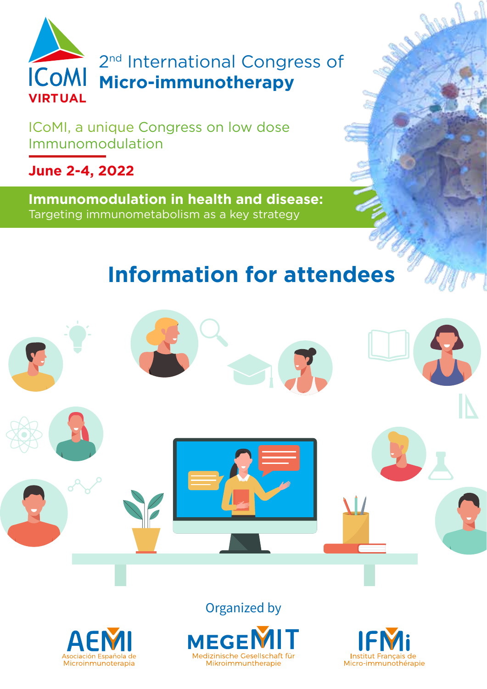

2<sup>nd</sup> International Congress of **Micro-immunotherapy**

ICoMI, a unique Congress on low dose Immunomodulation

**June 2-4, 2022**

**Immunomodulation in health and disease:** Targeting immunometabolism as a key strategy

# **Information for attendees**





Organized by





Johnel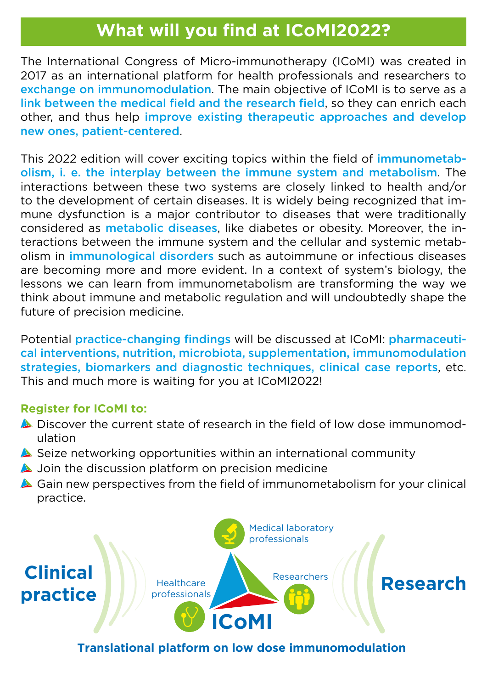## **What will you find at ICoMI2022?**

The International Congress of Micro-immunotherapy (ICoMI) was created in 2017 as an international platform for health professionals and researchers to exchange on immunomodulation. The main objective of ICoMI is to serve as a link between the medical field and the research field, so they can enrich each other, and thus help improve existing therapeutic approaches and develop new ones, patient-centered.

This 2022 edition will cover exciting topics within the field of *immunometab*olism, i. e. the interplay between the immune system and metabolism. The interactions between these two systems are closely linked to health and/or to the development of certain diseases. It is widely being recognized that immune dysfunction is a major contributor to diseases that were traditionally considered as metabolic diseases, like diabetes or obesity. Moreover, the interactions between the immune system and the cellular and systemic metabolism in immunological disorders such as autoimmune or infectious diseases are becoming more and more evident. In a context of system's biology, the lessons we can learn from immunometabolism are transforming the way we think about immune and metabolic regulation and will undoubtedly shape the future of precision medicine.

Potential practice-changing findings will be discussed at ICoMI: pharmaceutical interventions, nutrition, microbiota, supplementation, immunomodulation strategies, biomarkers and diagnostic techniques, clinical case reports, etc. This and much more is waiting for you at ICoMI2022!

#### **Register for ICoMI to:**

- Discover the current state of research in the field of low dose immunomodulation
- Seize networking opportunities within an international community
- **A** Join the discussion platform on precision medicine
- Gain new perspectives from the field of immunometabolism for your clinical practice.



#### **Translational platform on low dose immunomodulation**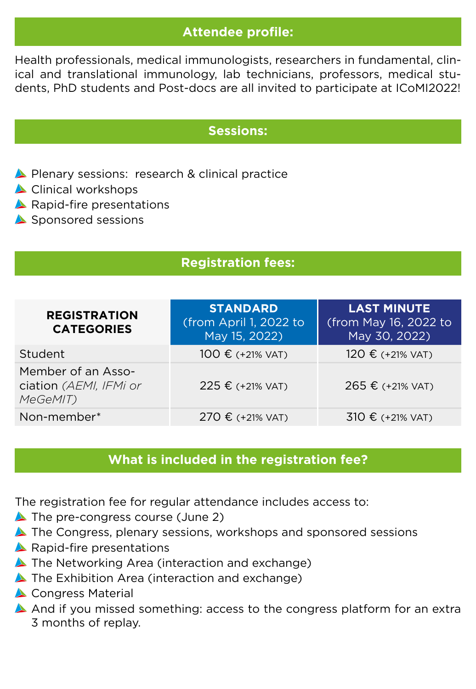### **Attendee profile:**

Health professionals, medical immunologists, researchers in fundamental, clinical and translational immunology, lab technicians, professors, medical students, PhD students and Post-docs are all invited to participate at ICoMI2022!

#### **Sessions:**

- Plenary sessions: research & clinical practice
- Clinical workshops
- Rapid-fire presentations
- Sponsored sessions

### **Registration fees:**

| <b>REGISTRATION</b><br><b>CATEGORIES</b>                 | <b>STANDARD</b><br>(from April 1, 2022 to<br>May 15, 2022) | <b>LAST MINUTE</b><br>(from May 16, 2022 to<br>May 30, 2022) |
|----------------------------------------------------------|------------------------------------------------------------|--------------------------------------------------------------|
| Student                                                  | 100 € (+21% VAT)                                           | 120 € (+21% VAT)                                             |
| Member of an Asso-<br>ciation (AEMI, IFMi or<br>MeGeMIT) | 225 € (+21% VAT)                                           | 265 € (+21% VAT)                                             |
| Non-member*                                              | 270 € (+21% VAT)                                           | 310 € (+21% VAT)                                             |

#### **What is included in the registration fee?**

The registration fee for regular attendance includes access to:

- The pre-congress course (June 2)
- **A** The Congress, plenary sessions, workshops and sponsored sessions
- **A** Rapid-fire presentations
- ▲ The Networking Area (interaction and exchange)
- The Exhibition Area (interaction and exchange)
- Congress Material
- A And if you missed something: access to the congress platform for an extra 3 months of replay.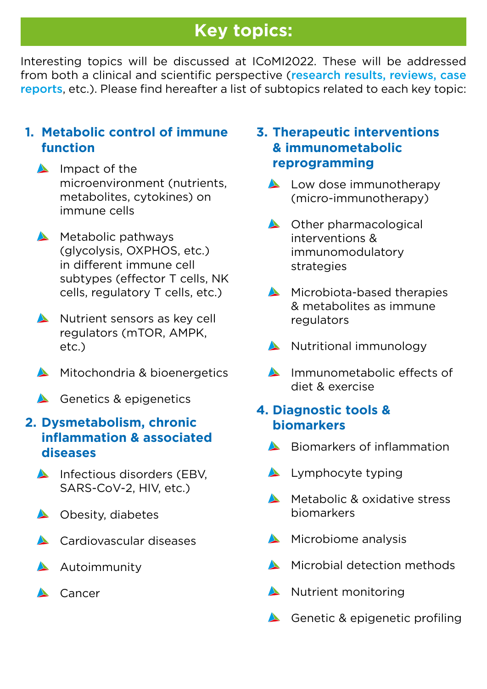# **Key topics:**

Interesting topics will be discussed at ICoMI2022. These will be addressed from both a clinical and scientific perspective (research results, reviews, case reports, etc.). Please find hereafter a list of subtopics related to each key topic:

### **1. Metabolic control of immune function**

- $\triangle$  Impact of the microenvironment (nutrients, metabolites, cytokines) on immune cells
- $\triangle$  Metabolic pathways (glycolysis, OXPHOS, etc.) in different immune cell subtypes (effector T cells, NK cells, regulatory T cells, etc.)
- Nutrient sensors as key cell regulators (mTOR, AMPK, etc.)
- Mitochondria & bioenergetics
- Genetics & epigenetics

### **2. Dysmetabolism, chronic inflammation & associated diseases**

- Infectious disorders (EBV, SARS-CoV-2, HIV, etc.)
- **A** Obesity, diabetes
- **Cardiovascular diseases**
- **Autoimmunity**
- **A** Cancer

#### **3. Therapeutic interventions & immunometabolic reprogramming**

- Low dose immunotherapy (micro-immunotherapy)
- ▲ Other pharmacological interventions & immunomodulatory strategies
- Microbiota-based therapies & metabolites as immune regulators
- Nutritional immunology
- Immunometabolic effects of diet & exercise

### **4. Diagnostic tools & biomarkers**

- Biomarkers of inflammation
- **Lymphocyte typing**
- **Metabolic & oxidative stress** biomarkers
- $\triangle$  Microbiome analysis
- Microbial detection methods
- Nutrient monitoring
- Genetic & epigenetic profiling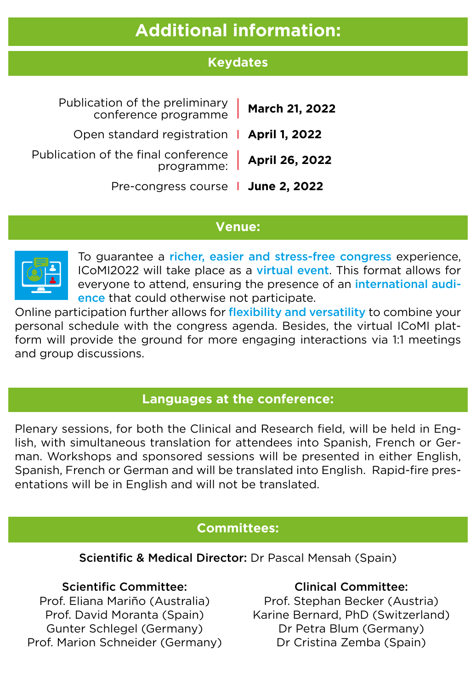# **Additional information:**

### **Keydates**

| Publication of the preliminary<br>March 21, 2022<br>conference programme |  |
|--------------------------------------------------------------------------|--|
| Open standard registration   April 1, 2022                               |  |
| Publication of the final conference<br>April 26, 2022<br>programme:      |  |
| Pre-congress course   June 2, 2022                                       |  |

#### **Venue:**



To guarantee a richer, easier and stress-free congress experience, ICoMI2022 will take place as a virtual event. This format allows for everyone to attend, ensuring the presence of an international audience that could otherwise not participate.

Online participation further allows for flexibility and versatility to combine your personal schedule with the congress agenda. Besides, the virtual ICoMI platform will provide the ground for more engaging interactions via 1:1 meetings and group discussions.

#### **Languages at the conference:**

Plenary sessions, for both the Clinical and Research field, will be held in English, with simultaneous translation for attendees into Spanish, French or German. Workshops and sponsored sessions will be presented in either English, Spanish, French or German and will be translated into English. Rapid-fire presentations will be in English and will not be translated.

#### **Committees:**

Scientific & Medical Director: Dr Pascal Mensah (Spain)

#### Scientific Committee:

Prof. Eliana Mariño (Australia) Prof. David Moranta (Spain) Gunter Schlegel (Germany) Prof. Marion Schneider (Germany)

#### Clinical Committee:

Prof. Stephan Becker (Austria) Karine Bernard, PhD (Switzerland) Dr Petra Blum (Germany) Dr Cristina Zemba (Spain)